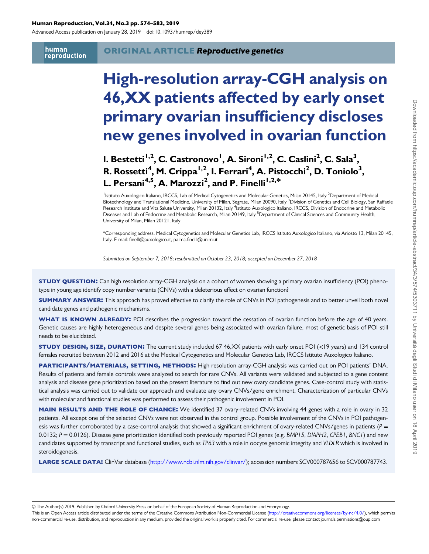#### Human Reproduction, Vol.34, No.3 pp. 574–583, 2019

Advanced Access publication on January 28, 2019 doi:10.1093/humrep/dey389

human reproduction

### ORIGINAL ARTICLE Reproductive genetics

# High-resolution array-CGH analysis on 46,XX patients affected by early onset primary ovarian insufficiency discloses new genes involved in ovarian function

## I. Bestetti<sup>1,2</sup>, C. Castronovo<sup>1</sup>, A. Sironi<sup>1,2</sup>, C. Caslini<sup>2</sup>, C. Sala<sup>3</sup>, R. Rossetti<sup>4</sup>, M. Crippa<sup>1,2</sup>, I. Ferrari<sup>4</sup>, A. Pistocchi<sup>2</sup>, D. Toniolo<sup>3</sup>, L. Persani $^{4,5}$ , A. Marozzi<sup>2</sup>, and P. Finelli $^{1,2,\ast}$

<sup>1</sup>Istituto Auxologico Italiano, IRCCS, Lab of Medical Cytogenetics and Molecular Genetics, Milan 20145, Italy <sup>2</sup>Department of Medical Biotechnology and Translational Medicine, University of Milan, Segrate, Milan 20090, Italy <sup>3</sup>Division of Genetics and Cell Biology, San Raffaele Research Institute and Vita Salute University, Milan 20132, Italy <sup>4</sup>Istituto Auxologico Italiano, IRCCS, Division of Endocrine and Metabolic Diseases and Lab of Endocrine and Metabolic Research, Milan 20149, Italy <sup>5</sup>Department of Clinical Sciences and Community Health, University of Milan, Milan 20121, Italy

\*Corresponding address. Medical Cytogenetics and Molecular Genetics Lab, IRCCS Istituto Auxologico Italiano, via Ariosto 13, Milan 20145, Italy. E-mail: finelli@auxologico.it, palma.finelli@unimi.it

Submitted on September 7, 2018; resubmitted on October 23, 2018; accepted on December 27, 2018

STUDY QUESTION: Can high resolution array-CGH analysis on a cohort of women showing a primary ovarian insufficiency (POI) phenotype in young age identify copy number variants (CNVs) with a deleterious effect on ovarian function?

**SUMMARY ANSWER:** This approach has proved effective to clarify the role of CNVs in POI pathogenesis and to better unveil both novel candidate genes and pathogenic mechanisms.

WHAT IS KNOWN ALREADY: POI describes the progression toward the cessation of ovarian function before the age of 40 years. Genetic causes are highly heterogeneous and despite several genes being associated with ovarian failure, most of genetic basis of POI still needs to be elucidated.

STUDY DESIGN, SIZE, DURATION: The current study included 67 46,XX patients with early onset POI (<19 years) and 134 control females recruited between 2012 and 2016 at the Medical Cytogenetics and Molecular Genetics Lab, IRCCS Istituto Auxologico Italiano.

PARTICIPANTS/MATERIALS, SETTING, METHODS: High resolution array-CGH analysis was carried out on POI patients' DNA. Results of patients and female controls were analyzed to search for rare CNVs. All variants were validated and subjected to a gene content analysis and disease gene prioritization based on the present literature to find out new ovary candidate genes. Case-control study with statistical analysis was carried out to validate our approach and evaluate any ovary CNVs/gene enrichment. Characterization of particular CNVs with molecular and functional studies was performed to assess their pathogenic involvement in POI.

MAIN RESULTS AND THE ROLE OF CHANCE: We identified 37 ovary-related CNVs involving 44 genes with a role in ovary in 32 patients. All except one of the selected CNVs were not observed in the control group. Possible involvement of the CNVs in POI pathogenesis was further corroborated by a case-control analysis that showed a significant enrichment of ovary-related CNVs/genes in patients ( $P =$ 0.0132;  $P = 0.0126$ ). Disease gene prioritization identified both previously reported POI genes (e.g. BMP15, DIAPH2, CPEB1, BNC1) and new candidates supported by transcript and functional studies, such as TP63 with a role in oocyte genomic integrity and VLDLR which is involved in steroidogenesis.

LARGE SCALE DATA: ClinVar database (<http://www.ncbi.nlm.nih.gov/clinvar/>); accession numbers SCV000787656 to SCV000787743.

© The Author(s) 2019. Published by Oxford University Press on behalf of the European Society of Human Reproduction and Embryology.

This is an Open Access article distributed under the terms of the Creative Commons Attribution Non-Commercial License [\(http://creativecommons.org/licenses/by-nc/4.0/](http://creativecommons.org/licenses/by-nc/4.0/)), which permits non-commercial re-use, distribution, and reproduction in any medium, provided the original work is properly cited. For commercial re-use, please contact journals.permissions@oup.com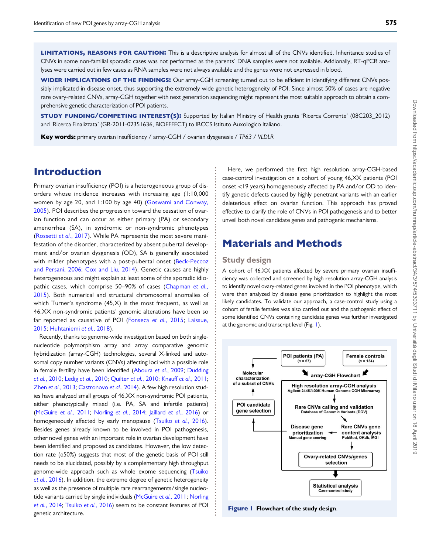LIMITATIONS, REASONS FOR CAUTION: This is a descriptive analysis for almost all of the CNVs identified. Inheritance studies of CNVs in some non-familial sporadic cases was not performed as the parents' DNA samples were not available. Addionally, RT-qPCR analyses were carried out in few cases as RNA samples were not always available and the genes were not expressed in blood.

WIDER IMPLICATIONS OF THE FINDINGS: Our array-CGH screening turned out to be efficient in identifying different CNVs possibly implicated in disease onset, thus supporting the extremely wide genetic heterogeneity of POI. Since almost 50% of cases are negative rare ovary-related CNVs, array-CGH together with next generation sequencing might represent the most suitable approach to obtain a comprehensive genetic characterization of POI patients.

STUDY FUNDING/COMPETING INTEREST(S): Supported by Italian Ministry of Health grants 'Ricerca Corrente' (08C203\_2012) and 'Ricerca Finalizzata' (GR-2011-02351636, BIOEFFECT) to IRCCS Istituto Auxologico Italiano.

Key words: primary ovarian insufficiency / array-CGH / ovarian dysgenesis / TP63 / VLDLR

## Introduction

Primary ovarian insufficiency (POI) is a heterogeneous group of disorders whose incidence increases with increasing age (1:10,000 women by age 20, and 1:100 by age 40) ([Goswami and Conway,](#page-8-0) [2005\)](#page-8-0). POI describes the progression toward the cessation of ovarian function and can occur as either primary (PA) or secondary amenorrhea (SA), in syndromic or non-syndromic phenotypes [\(Rossetti](#page-9-0) et al., 2017). While PA represents the most severe manifestation of the disorder, characterized by absent pubertal development and/or ovarian dysgenesis (OD), SA is generally associated with milder phenotypes with a post-pubertal onset ([Beck-Peccoz](#page-8-0) [and Persani, 2006](#page-8-0); [Cox and Liu, 2014\)](#page-8-0). Genetic causes are highly heterogeneous and might explain at least some of the sporadic idiopathic cases, which comprise 50–90% of cases [\(Chapman](#page-8-0) et al., [2015\)](#page-8-0). Both numerical and structural chromosomal anomalies of which Turner's syndrome (45,X) is the most frequent, as well as 46,XX non-syndromic patients' genomic alterations have been so far reported as causative of POI ([Fonseca](#page-8-0) et al., 2015; [Laissue,](#page-9-0) [2015;](#page-9-0) [Huhtaniemi](#page-8-0) et al., 2018).

Recently, thanks to genome-wide investigation based on both singlenucleotide polymorphism array and array comparative genomic hybridization (array-CGH) technologies, several X-linked and autosomal copy number variants (CNVs) affecting loci with a possible role in female fertility have been identified ([Aboura](#page-8-0) et al., 2009; [Dudding](#page-8-0) et al.[, 2010;](#page-8-0) Ledig et al.[, 2010;](#page-9-0) [Quilter](#page-9-0) et al., 2010; [Knauff](#page-9-0) et al., 2011; Zhen et al.[, 2013;](#page-9-0) [Castronovo](#page-8-0) et al., 2014). A few high resolution studies have analyzed small groups of 46,XX non-syndromic POI patients, either phenotypically mixed (i.e. PA, SA and infertile patients) [\(McGuire](#page-9-0) et al., 2011; [Norling](#page-9-0) et al., 2014; Jaillard et al.[, 2016\)](#page-9-0) or homogeneously affected by early menopause (Tsuiko et al.[, 2016\)](#page-9-0). Besides genes already known to be involved in POI pathogenesis, other novel genes with an important role in ovarian development have been identified and proposed as candidates. However, the low detection rate («50%) suggests that most of the genetic basis of POI still needs to be elucidated, possibly by a complementary high throughput genome-wide approach such as whole exome sequencing ([Tsuiko](#page-9-0) et al.[, 2016\)](#page-9-0). In addition, the extreme degree of genetic heterogeneity as well as the presence of multiple rare rearrangements/single nucleotide variants carried by single individuals [\(McGuire](#page-9-0) et al., 2011; [Norling](#page-9-0) et al.[, 2014](#page-9-0); [Tsuiko](#page-9-0) et al., 2016) seem to be constant features of POI genetic architecture.

Here, we performed the first high resolution array-CGH-based case-control investigation on a cohort of young 46,XX patients (POI onset <19 years) homogeneously affected by PA and/or OD to identify genetic defects caused by highly penetrant variants with an earlier deleterious effect on ovarian function. This approach has proved effective to clarify the role of CNVs in POI pathogenesis and to better unveil both novel candidate genes and pathogenic mechanisms.

## Materials and Methods

### Study design

A cohort of 46,XX patients affected by severe primary ovarian insufficiency was collected and screened by high resolution array-CGH analysis to identify novel ovary-related genes involved in the POI phenotype, which were then analyzed by disease gene prioritization to highlight the most likely candidates. To validate our approach, a case-control study using a cohort of fertile females was also carried out and the pathogenic effect of some identified CNVs containing candidate genes was further investigated at the genomic and transcript level (Fig. 1).



Figure 1 Flowchart of the study design.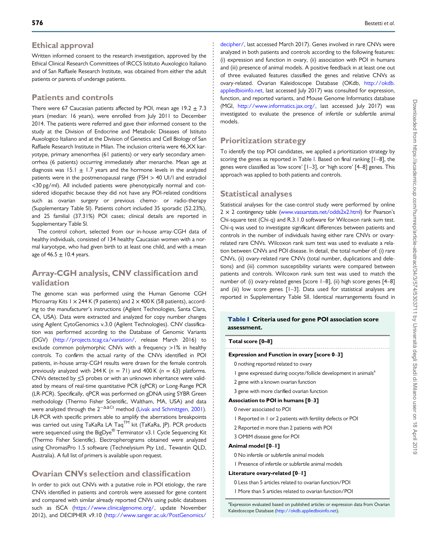### <span id="page-2-0"></span>Ethical approval

Written informed consent to the research investigation, approved by the Ethical Clinical Research Committees of IRCCS Istituto Auxologico Italiano and of San Raffaele Research Institute, was obtained from either the adult patients or parents of underage patients.

### Patients and controls

There were 67 Caucasian patients affected by POI, mean age  $19.2 \pm 7.3$ years (median: 16 years), were enrolled from July 2011 to December 2014. The patients were referred and gave their informed consent to the study at the Division of Endocrine and Metabolic Diseases of Istituto Auxologico Italiano and at the Division of Genetics and Cell Biology of San Raffaele Research Institute in Milan. The inclusion criteria were 46,XX karyotype, primary amenorrhea (61 patients) or very early secondary amenorrhea (6 patients) occurring immediately after menarche. Mean age at diagnosis was 15.1  $\pm$  1.7 years and the hormone levels in the analyzed patients were in the postmenopausal range (FSH > 40 UI/l and estradiol <30 pg/ml). All included patients were phenotypically normal and considered idiopathic because they did not have any POI-related conditions such as ovarian surgery or previous chemo- or radio-therapy (Supplementary Table SI). Patients cohort included 35 sporadic (52.23%), and 25 familial (37.31%) POI cases; clinical details are reported in Supplementary Table SI.

The control cohort, selected from our in-house array-CGH data of healthy individuals, consisted of 134 healthy Caucasian women with a normal karyotype, who had given birth to at least one child, and with a mean age of  $46.5 \pm 10.4$  years.

## Array-CGH analysis, CNV classification and validation

The genome scan was performed using the Human Genome CGH Microarray Kits 1  $\times$  244 K (9 patients) and 2  $\times$  400 K (58 patients), according to the manufacturer's instructions (Agilent Technologies, Santa Clara, CA, USA). Data were extracted and analyzed for copy number changes using Agilent CytoGenomics v.3.0 (Agilent Technologies). CNV classification was performed according to the Database of Genomic Variants (DGV) [\(http://projects.tcag.ca/variation/,](http://projects.tcag.ca/variation/) release March 2016) to exclude common polymorphic CNVs with a frequency >1% in healthy controls. To confirm the actual rarity of the CNVs identified in POI patients, in-house array-CGH results were drawn for the female controls previously analyzed with 244 K ( $n = 71$ ) and 400 K ( $n = 63$ ) platforms. CNVs detected by ≤5 probes or with an unknown inheritance were validated by means of real-time quantitative PCR (qPCR) or Long-Range PCR (LR-PCR). Specifically, qPCR was performed on gDNA using SYBR Green methodology (Thermo Fisher Scientific, Waltham, MA, USA) and data were analyzed through the 2<sup>-ΔΔCt</sup> method [\(Livak and Schmittgen, 2001\)](#page-9-0). LR-PCR with specific primers able to amplify the aberrations breakpoints was carried out using TaKaRa LA Taq<sup>TM</sup> kit (TaKaRa, JP). PCR products were sequenced using the BigDye® Terminator v3.1 Cycle Sequencing Kit (Thermo Fisher Scientific). Electropherograms obtained were analyzed using ChromasPro 1.5 software (Technelysium Pty Ltd., Tewantin QLD, Australia). A full list of primers is available upon request.

### Ovarian CNVs selection and classification

In order to pick out CNVs with a putative role in POI etiology, the rare CNVs identified in patients and controls were assessed for gene content and compared with similar already reported CNVs using public databases such as ISCA (<https://www.clinicalgenome.org/>, update November 2012), and DECIPHER v9.10 [\(http://www.sanger.ac.uk/PostGenomics/](http://www.sanger.ac.uk/PostGenomics/decipher/)

[decipher/](http://www.sanger.ac.uk/PostGenomics/decipher/), last accessed March 2017). Genes involved in rare CNVs were analyzed in both patients and controls according to the following features: (i) expression and function in ovary, (ii) association with POI in humans and (iii) presence of animal models. A positive feedback in at least one out of three evaluated features classified the genes and relative CNVs as ovary-related. Ovarian Kaleidoscope Database (OKdb, [http://okdb.](http://okdb.appliedbioinfo.net) [appliedbioinfo.net,](http://okdb.appliedbioinfo.net) last accessed July 2017) was consulted for expression, function, and reported variants, and Mouse Genome Informatics database (MGI, <http://www.informatics.jax.org/>, last accessed July 2017) was investigated to evaluate the presence of infertile or subfertile animal models.

## Prioritization strategy

To identify the top POI candidates, we applied a prioritization strategy by scoring the genes as reported in Table I. Based on final ranking [1-8], the genes were classified as 'low score' [1–3], or 'high score' [4–8] genes. This approach was applied to both patients and controls.

### Statistical analyses

Statistical analyses for the case-control study were performed by online  $2 \times 2$  contingency table [\(www.vassarstats.net/odds2x2.html\)](http://www.vassarstats.net/odds2x2.html) for Pearson's Chi-square test (Chi-q) and R.3.1.0 software for Wilcoxon rank sum test. Chi-q was used to investigate significant differences between patients and controls in the number of individuals having either rare CNVs or ovaryrelated rare CNVs. Wilcoxon rank sum test was used to evaluate a relation between CNVs and POI disease. In detail, the total number of: (i) rare CNVs, (ii) ovary-related rare CNVs (total number, duplications and deletions) and (iii) common susceptibility variants were compared between patients and controls. Wilcoxon rank sum test was used to match the number of: (i) ovary-related genes [score 1–8], (ii) high score genes [4–8] and (iii) low score genes [1–3]. Data used for statistical analyses are reported in Supplementary Table SII. Identical rearrangements found in

#### Table I Criteria used for gene POI association score assessment.

#### ........................................................................................ Total score [0–8]

#### Expression and Function in ovary [score 0–3]

- 0 nothing reported related to ovary
- 1 gene expressed during oocyte/follicle development in animals<sup>a</sup>
- 2 gene with a known ovarian function
- 3 gene with more clarified ovarian function

#### Association to POI in humans [0–3]

- 0 never associated to POI
- 1 Reported in 1 or 2 patients with fertility defects or POI
- 2 Reported in more than 2 patients with POI
- 3 OMIM disease gene for POI

#### Animal model [0–1]

- 0 No infertile or subfertile animal models
- 1 Presence of infertile or subfertile animal models

#### Literature ovary-related [0–1]

- 0 Less than 5 articles related to ovarian function/POI
- 1 More than 5 articles related to ovarian function/POI

<sup>&</sup>lt;sup>a</sup> Expression evaluated based on published articles or expression data from Ovarian Kaleidoscope Database ([http://okdb.appliedbioinfo.net\)](http://okdb.appliedbioinfo.net).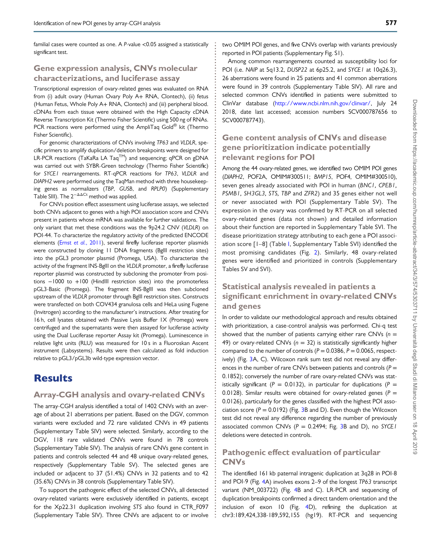familial cases were counted as one. A P-value <0.05 assigned a statistically significant test.

### Gene expression analysis, CNVs molecular characterizations, and luciferase assay

Transcriptional expression of ovary-related genes was evaluated on RNA from (i) adult ovary (Human Ovary Poly A+ RNA, Clontech), (ii) fetus (Human Fetus, Whole Poly A+ RNA, Clontech) and (iii) peripheral blood. cDNAs from each tissue were obtained with the High Capacity cDNA Reverse Transcription Kit (Thermo Fisher Scientific) using 500 ng of RNAs. PCR reactions were performed using the AmpliTaq Gold<sup>®</sup> kit (Thermo Fisher Scientific).

For genomic characterizations of CNVs involving TP63 and VLDLR, specific primers to amplify duplication/deletion breakpoints were designed for LR-PCR reactions (TaKaRa LA Taq<sup>TM</sup>) and sequencing; qPCR on gDNA was carried out with SYBR-Green technology (Thermo Fisher Scientific) for SYCE1 rearrangements. RT-qPCR reactions for TP63, VLDLR and DIAPH2 were performed using the TaqMan method with three housekeeping genes as normalizers (TBP, GUSB, and RPLP0) (Supplementary Table SIII). The  $2^{-\Delta\Delta Ct}$  method was applied.

For CNVs position effect assessment using luciferase assays, we selected both CNVs adjacent to genes with a high POI association score and CNVs present in patients whose mRNA was available for further validations. The only variant that met these conditions was the 9p24.2 CNV (VLDLR) on POI-44. To characterize the regulatory activity of the predicted ENCODE elements (Ernst et al.[, 2011](#page-8-0)), several firefly luciferase reporter plasmids were constructed by cloning 11 DNA fragments (BgllI restriction sites) into the pGL3 promoter plasmid (Promega, USA). To characterize the activity of the fragment INS-BglII on the VLDLR promoter, a firefly luciferase reporter plasmid was constructed by subcloning the promoter from positions −1000 to +100 (HindIII restriction sites) into the promoterless pGL3-Basic (Promega). The fragment INS-BglII was then subcloned upstream of the VLDLR promoter through BglII restriction sites. Constructs were transfected on both COV434 granulosa cells and HeLa using Fugene (Invitrogen) according to the manufacturer's instructions. After treating for 16 h, cell lysates obtained with Passive Lysis Buffer 1X (Promega) were centrifuged and the supernatants were then assayed for luciferase activity using the Dual Luciferase reporter Assay kit (Promega). Luminescence in relative light units (RLU) was measured for 10 s in a Fluoroskan Ascent instrument (Labsystems). Results were then calculated as fold induction relative to pGL3/pGL3b wild-type expression vector.

## **Results**

### Array-CGH analysis and ovary-related CNVs

The array-CGH analysis identified a total of 1402 CNVs with an average of about 21 aberrations per patient. Based on the DGV, common variants were excluded and 72 rare validated CNVs in 49 patients (Supplementary Table SIV) were selected. Similarly, according to the DGV, 118 rare validated CNVs were found in 78 controls (Supplementary Table SIV). The analysis of rare CNVs gene content in patients and controls selected 44 and 48 unique ovary-related genes, respectively (Supplementary Table SV). The selected genes are included or adjacent to 37 (51.4%) CNVs in 32 patients and to 42 (35.6%) CNVs in 38 controls (Supplementary Table SIV).

To support the pathogenic effect of the selected CNVs, all detected ovary-related variants were exclusively identified in patients, except for the Xp22.31 duplication involving STS also found in CTR\_F097 (Supplementary Table SIV). Three CNVs are adjacent to or involve

two OMIM POI genes, and five CNVs overlap with variants previously reported in POI patients (Supplementary Fig. S1).

Among common rearrangements counted as susceptibility loci for POI (i.e. NAIP at 5q13.2, DUSP22 at 6p25.2, and SYCE1 at 10q26.3), 26 aberrations were found in 25 patients and 41 common aberrations were found in 39 controls (Supplementary Table SIV). All rare and selected common CNVs identified in patients were submitted to ClinVar database (<http://www.ncbi.nlm.nih.gov/clinvar/>, July 24 2018, date last accessed; accession numbers SCV000787656 to SCV000787743).

## Gene content analysis of CNVs and disease gene prioritization indicate potentially relevant regions for POI

Among the 44 ovary-related genes, we identified two OMIM POI genes (DIAPH2, POF2A, OMIM#300511; BMP15, POF4, OMIM#300510), seven genes already associated with POI in human (BNC1, CPEB1, PSMB1, SH3GL3, STS, TBP and ZFR2) and 35 genes either not well or never associated with POI (Supplementary Table SV). The expression in the ovary was confirmed by RT-PCR on all selected ovary-related genes (data not shown) and detailed information about their function are reported in Supplementary Table SVI. The disease prioritization strategy attributing to each gene a POI association score [1–8] (Table [I,](#page-2-0) Supplementary Table SVI) identified the most promising candidates (Fig. [2](#page-4-0)). Similarly, 48 ovary-related genes were identified and prioritized in controls (Supplementary Tables SV and SVI).

## Statistical analysis revealed in patients a significant enrichment in ovary-related CNVs and genes

In order to validate our methodological approach and results obtained with prioritization, a case-control analysis was performed. Chi-q test showed that the number of patients carrying either rare CNVs  $(n =$ 49) or ovary-related CNVs ( $n = 32$ ) is statistically significantly higher compared to the number of controls ( $P = 0.0386$ ,  $P = 0.0065$ , respectively) (Fig. [3](#page-4-0)A, C). Wilcoxon rank sum test did not reveal any differences in the number of rare CNVs between patients and controls ( $P =$ 0.1852); conversely the number of rare ovary-related CNVs was statistically significant ( $P = 0.0132$ ), in particular for duplications ( $P =$ 0.0128). Similar results were obtained for ovary-related genes ( $P =$ 0.0126), particularly for the genes classified with the highest POI association score ( $P = 0.0192$ ) (Fig. [3B](#page-4-0) and D). Even though the Wilcoxon test did not reveal any difference regarding the number of previously associated common CNVs ( $P = 0.2494$ ; Fig. [3](#page-4-0)B and D), no SYCE1 deletions were detected in controls.

### Pathogenic effect evaluation of particular **CNVs**

The identified 161 kb paternal intragenic duplication at 3q28 in POI-8 and POI-9 (Fig. [4A](#page-5-0)) involves exons 2–9 of the longest TP63 transcript variant (NM\_003722) (Fig. [4B](#page-5-0) and C). LR-PCR and sequencing of duplication breakpoints confirmed a direct tandem orientation and the inclusion of exon 10 (Fig. [4D](#page-5-0)), refining the duplication at chr3:189,424,338-189,592,155 (hg19). RT-PCR and sequencing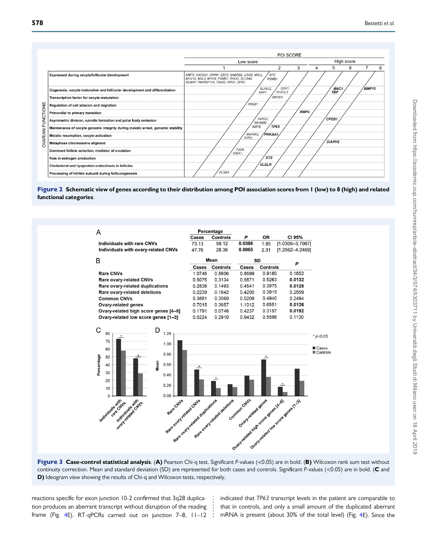<span id="page-4-0"></span>

Figure 2 Schematic view of genes according to their distribution among POI association scores from 1 (low) to 8 (high) and related functional categories.



Figure 3 Case-control statistical analysis. (A) Pearson Chi-q test. Significant P-values (<0.05) are in bold. (B) Wilcoxon rank sum test without continuity correction. Mean and standard deviation (SD) are represented for both cases and controls. Significant P-values (<0.05) are in bold. ( $C$  and D) Ideogram view showing the results of Chi-q and Wilcoxon tests, respectively.

÷

reactions specific for exon junction 10-2 confirmed that 3q28 duplication produces an aberrant transcript without disruption of the reading frame (Fig. [4](#page-5-0)E). RT-qPCRs carried out on junction 7–8, 11–12

indicated that TP63 transcript levels in the patient are comparable to that in controls, and only a small amount of the duplicated aberrant mRNA is present (about 30% of the total level) (Fig. [4E](#page-5-0)). Since the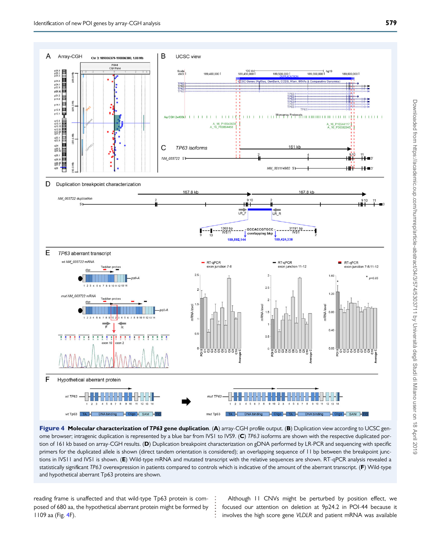<span id="page-5-0"></span>

Figure 4 Molecular characterization of TP63 gene duplication. (A) array-CGH profile output. (B) Duplication view according to UCSC genome browser; intragenic duplication is represented by a blue bar from IVS1 to IVS9. (C) TP63 isoforms are shown with the respective duplicated portion of 161 kb based on array-CGH results. (D) Duplication breakpoint characterization on gDNA performed by LR-PCR and sequencing with specific primers for the duplicated allele is shown (direct tandem orientation is considered); an overlapping sequence of 11 bp between the breakpoint junctions in IVS11 and IVS1 is shown. (E) Wild-type mRNA and mutated transcript with the relative sequences are shown. RT-qPCR analysis revealed a statistically significant TP63 overexpression in patients compared to controls which is indicative of the amount of the aberrant transcript. (F) Wild-type and hypothetical aberrant Tp63 proteins are shown.

reading frame is unaffected and that wild-type Tp63 protein is composed of 680 aa, the hypothetical aberrant protein might be formed by 1109 aa (Fig. 4F).

Although 11 CNVs might be perturbed by position effect, we focused our attention on deletion at 9p24.2 in POI-44 because it involves the high score gene VLDLR and patient mRNA was available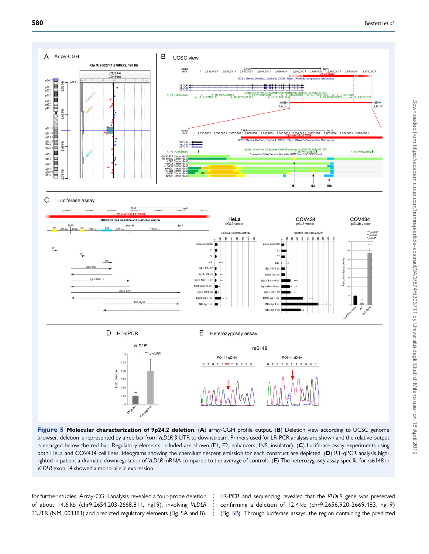<span id="page-6-0"></span>

Figure 5 Molecular characterization of 9p24.2 deletion. (A) array-CGH profile output. (B) Deletion view according to UCSC genome browser; deletion is represented by a red bar from VLDLR 3'UTR to downstream. Primers used for LR-PCR analysis are shown and the relative output is enlarged below the red bar. Regulatory elements included are shown (E1, E2, enhancers; INS, insulator). (C) Luciferase assay experiments using both HeLa and COV434 cell lines. Ideograms showing the chemiluminescent emission for each construct are depicted. (D) RT-qPCR analysis highlighted in patient a dramatic downregulation of VLDLR mRNA compared to the average of controls. (E) The heterozygosity assay specific for rs6148 in VLDLR exon 14 showed a mono-allelic expression.

for further studies. Array-CGH analysis revealed a four-probe deletion of about 14.6 kb (chr9:2654,203-2668,811, hg19), involving VLDLR 3'UTR (NM\_003383) and predicted regulatory elements (Fig. 5A and B). LR-PCR and sequencing revealed that the VLDLR gene was preserved confirming a deletion of 12.4 kb (chr9:2656,920-2669,483, hg19) (Fig. 5B). Through luciferase assays, the region containing the predicted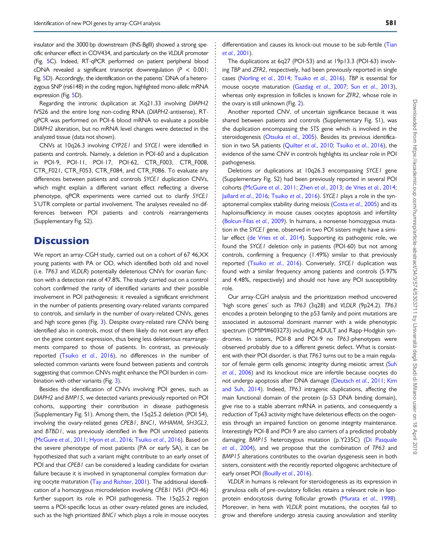insulator and the 3000 bp downstream (INS-BglII) showed a strong specific enhancer effect in COV434, and particularly on the VLDLR promoter (Fig. [5](#page-6-0)C). Indeed, RT-qPCR performed on patient peripheral blood cDNA revealed a significant transcript downregulation  $(P < 0.001)$ ; Fig. [5D](#page-6-0)). Accordingly, the identification on the patients' DNA of a heterozygous SNP (rs6148) in the coding region, highlighted mono-allelic mRNA expression (Fig. [5D](#page-6-0)).

Regarding the intronic duplication at Xq21.33 involving DIAPH2 IVS26 and the entire long non-coding RNA (DIAPH2-antisense), RTqPCR was performed on POI-6 blood mRNA to evaluate a possible DIAPH2 alteration, but no mRNA level changes were detected in the analyzed tissue (data not shown).

CNVs at 10q26.3 involving CYP2E1 and SYCE1 were identified in patients and controls. Namely, a deletion in POI-60 and a duplication in POI-9, POI-11, POI-17, POI-62, CTR F003, CTR F008, CTR\_F021, CTR\_F053, CTR\_F084, and CTR\_F086. To evaluate any differences between patients and controls SYCE1 duplication CNVs, which might explain a different variant effect reflecting a diverse phenotype, qPCR experiments were carried out to clarify SYCE1 5'UTR complete or partial involvement. The analyses revealed no differences between POI patients and controls rearrangements (Supplementary Fig. S2).

## **Discussion**

We report an array-CGH study, carried out on a cohort of 67 46,XX young patients with PA or OD, which identified both old and novel (i.e. TP63 and VLDLR) potentially deleterious CNVs for ovarian function with a detection rate of 47.8%. The study carried out on a control cohort confirmed the rarity of identified variants and their possible involvement in POI pathogenesis: it revealed a significant enrichment in the number of patients presenting ovary-related variants compared to controls, and similarly in the number of ovary-related CNVs, genes and high score genes (Fig. [3](#page-4-0)). Despite ovary-related rare CNVs being identified also in controls, most of them likely do not exert any effect on the gene content expression, thus being less deleterious rearrangements compared to those of patients. In contrast, as previously reported (Tsuiko et al.[, 2016\)](#page-9-0), no differences in the number of selected common variants were found between patients and controls suggesting that common CNVs might enhance the POI burden in com-bination with other variants (Fig. [3](#page-4-0)).

Besides the identification of CNVs involving POI genes, such as DIAPH2 and BMP15, we detected variants previously reported on POI cohorts, supporting their contribution in disease pathogenesis (Supplementary Fig. S1). Among them, the 15q25.2 deletion (POI 54), involving the ovary-related genes CPEB1, BNC1, WHAMM, SH3GL3, and BTBD1, was previously identified in five POI unrelated patients [\(McGuire](#page-9-0) et al., 2011; Hyon et al.[, 2016](#page-8-0); [Tsuiko](#page-9-0) et al., 2016). Based on the severe phenotype of most patients (PA or early SA), it can be hypothesized that such a variant might contribute to an early onset of POI and that CPEB1 can be considered a leading candidate for ovarian failure because it is involved in synaptonemal complex formation during oocyte maturation ([Tay and Richter, 2001](#page-9-0)). The additional identification of a homozygous microdeletion involving CPEB1 IVS1 (POI-46) further support its role in POI pathogenesis. The 15q25.2 region seems a POI-specific locus as other ovary-related genes are included, such as the high prioritized BNC1 which plays a role in mouse oocytes

differentiation and causes its knock-out mouse to be sub-fertile [\(Tian](#page-9-0) et al.[, 2001](#page-9-0)).

The duplications at 6q27 (POI-53) and at 19p13.3 (POI-63) involving TBP and ZFR2, respectively, had been previously reported in single cases ([Norling](#page-9-0) et al., 2014; [Tsuiko](#page-9-0) et al., 2016). TBP is essential for mouse oocyte maturation ([Gazdag](#page-8-0) et al., 2007; Sun et al.[, 2013\)](#page-9-0), whereas only expression in follicles is known for ZFR2, whose role in the ovary is still unknown (Fig. [2\)](#page-4-0).

Another reported CNV, of uncertain significance because it was shared between patients and controls (Supplementary Fig. S1), was the duplication encompassing the STS gene which is involved in the steroidogenesis ([Otsuka](#page-9-0) et al., 2005). Besides its previous identification in two SA patients ([Quilter](#page-9-0) et al., 2010; [Tsuiko](#page-9-0) et al., 2016), the evidence of the same CNV in controls highlights its unclear role in POI pathogenesis.

Deletions or duplications at 10q26.3 encompassing SYCE1 gene (Supplementary Fig. S2) had been previously reported in several POI cohorts [\(McGuire](#page-9-0) et al., 2011; Zhen et al.[, 2013;](#page-9-0) [de Vries](#page-8-0) et al., 2014; [Jaillard](#page-9-0) et al., 2016; [Tsuiko](#page-9-0) et al., 2016). SYCE1 plays a role in the synaptonemal complex stability during meiosis (Costa et al.[, 2005](#page-8-0)) and its haploinsufficiency in mouse causes oocytes apoptosis and infertility [\(Bolcun-Filas](#page-8-0) et al., 2009). In humans, a nonsense homozygous mutation in the SYCE1 gene, observed in two POI sisters might have a simi-lar effect [\(de Vries](#page-8-0) et al., 2014). Supporting its pathogenic role, we found the SYCE1 deletion only in patients (POI-60) but not among controls, confirming a frequency (1.49%) similar to that previously reported (Tsuiko et al.[, 2016\)](#page-9-0). Conversely, SYCE1 duplication was found with a similar frequency among patients and controls (5.97% and 4.48%, respectively) and should not have any POI susceptibility role.

Our array-CGH analysis and the prioritization method uncovered 'high score genes' such as TP63 (3q28) and VLDLR (9p24.2). TP63 encodes a protein belonging to the p53 family and point mutations are associated in autosomal dominant manner with a wide phenotypic spectrum (OMIM#603273) including ADULT and Rapp-Hodgkin syndromes. In sisters, POI-8 and POI-9 no TP63-phenotypes were observed probably due to a different genetic defect. What is consistent with their POI disorder, is that TP63 turns out to be a main regulator of female germ cells genomic integrity during meiotic arrest [\(Suh](#page-9-0) et al.[, 2006\)](#page-9-0) and its knockout mice are infertile because oocytes do not undergo apoptosis after DNA damage ([Deutsch](#page-8-0) et al., 2011; [Kim](#page-9-0) [and Suh, 2014](#page-9-0)). Indeed, TP63 intragenic duplications, affecting the main functional domain of the protein (p-53 DNA binding domain), give rise to a stable aberrant mRNA in patients, and consequently a reduction of Tp63 activity might have deleterious effects on the oogenesis through an impaired function on genome integrity maintenance. Interestingly POI-8 and POI-9 are also carriers of a predicted probably damaging BMP15 heterozygous mutation (p.Y235C) [\(Di Pasquale](#page-8-0) et al.[, 2004](#page-8-0)), and we propose that the combination of TP63 and BMP15 alterations contributes to the ovarian dysgenesis seen in both sisters, consistent with the recently reported oligogenic architecture of early onset POI ([Bouilly](#page-8-0) et al., 2016).

VLDLR in humans is relevant for steroidogenesis as its expression in granulosa cells of pre-ovulatory follicles retains a relevant role in lipoprotein endocytosis during follicular growth [\(Murata](#page-9-0) et al., 1998). Moreover, in hens with VLDLR point mutations, the oocytes fail to grow and therefore undergo atresia causing anovulation and sterility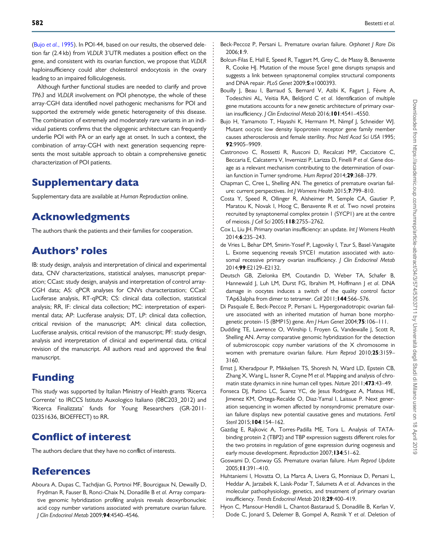<span id="page-8-0"></span>(Bujo et al., 1995). In POI-44, based on our results, the observed deletion far (2.4 kb) from VLDLR 3'UTR mediates a position effect on the gene, and consistent with its ovarian function, we propose that VLDLR haploinsufficiency could alter cholesterol endocytosis in the ovary leading to an impaired folliculogenesis.

Although further functional studies are needed to clarify and prove TP63 and VLDLR involvement on POI phenotype, the whole of these array-CGH data identified novel pathogenic mechanisms for POI and supported the extremely wide genetic heterogeneity of this disease. The combination of extremely and moderately rare variants in an individual patients confirms that the oligogenic architecture can frequently underlie POI with PA or an early age at onset. In such a context, the combination of array-CGH with next generation sequencing represents the most suitable approach to obtain a comprehensive genetic characterization of POI patients.

## Supplementary data

Supplementary data are available at Human Reproduction online.

## Acknowledgments

The authors thank the patients and their families for cooperation.

## Authors' roles

IB: study design, analysis and interpretation of clinical and experimental data, CNV characterizations, statistical analyses, manuscript preparation; CCast: study design, analysis and interpretation of control array-CGH data; AS: qPCR analyses for CNVs characterization; CCasl: Luciferase analysis, RT-qPCR; CS: clinical data collection, statistical analysis; RR, IF: clinical data collection; MC: interpretation of experimental data; AP: Luciferase analysis; DT, LP: clinical data collection, critical revision of the manuscript; AM: clinical data collection, Luciferase analysis, critical revision of the manuscript; PF: study design, analysis and interpretation of clinical and experimental data, critical revision of the manuscript. All authors read and approved the final manuscript.

## Funding

This study was supported by Italian Ministry of Health grants 'Ricerca Corrente' to IRCCS Istituto Auxologico Italiano (08C203\_2012) and 'Ricerca Finalizzata' funds for Young Researchers (GR-2011- 02351636, BIOEFFECT) to RR.

## Conflict of interest

The authors declare that they have no conflict of interests.

## References

Aboura A, Dupas C, Tachdjian G, Portnoi MF, Bourcigaux N, Dewailly D, Frydman R, Fauser B, Ronci-Chaix N, Donadille B et al. Array comparative genomic hybridization profiling analysis reveals deoxyribonucleic acid copy number variations associated with premature ovarian failure. J Clin Endocrinol Metab 2009;94:4540–4546.

- Beck-Peccoz P. Persani L. Premature ovarian failure. Orphanet I Rare Dis 2006;1:9.
- Bolcun-Filas E, Hall E, Speed R, Taggart M, Grey C, de Massy B, Benavente R, Cooke HJ. Mutation of the mouse Syce1 gene disrupts synapsis and suggests a link between synaptonemal complex structural components and DNA repair. PLoS Genet 2009;5:e1000393.
- Bouilly J, Beau I, Barraud S, Bernard V, Azibi K, Fagart J, Fèvre A, Todeschini AL, Veitia RA, Beldjord C et al. Identification of multiple gene mutations accounts for a new genetic architecture of primary ovarian insufficiency. J Clin Endocrinol Metab 2016; 101:4541-4550.
- Bujo H, Yamamoto T, Hayashi K, Hermann M, Nimpf J, Schneider WJ. Mutant oocytic low density lipoprotein receptor gene family member causes atherosclerosis and female sterility. Proc Natl Acad Sci USA 1995; 92:9905–9909.
- Castronovo C, Rossetti R, Rusconi D, Recalcati MP, Cacciatore C, Beccaria E, Calcaterra V, Invernizzi P, Larizza D, Finelli P et al. Gene dosage as a relevant mechanism contributing to the determination of ovarian function in Turner syndrome. Hum Reprod 2014;29:368–379.
- Chapman C, Cree L, Shelling AN. The genetics of premature ovarian failure: current perspectives. Int J Womens Health 2015;7:799–810.
- Costa Y, Speed R, Ollinger R, Alsheimer M, Semple CA, Gautier P, Maratou K, Novak I, Hoog C, Benavente R et al. Two novel proteins recruited by synaptonemal complex protein 1 (SYCP1) are at the centre of meiosis. *J Cell Sci* 2005; **I 18**:2755-2762.
- Cox L, Liu JH. Primary ovarian insufficiency: an update. Int J Womens Health 2014;6:235–243.
- de Vries L, Behar DM, Smirin-Yosef P, Lagovsky I, Tzur S, Basel-Vanagaite L. Exome sequencing reveals SYCE1 mutation associated with autosomal recessive primary ovarian insufficiency. J Clin Endocrinol Metab 2014;99:E2129–E2132.
- Deutsch GB, Zielonka EM, Coutandin D, Weber TA, Schafer B, Hannewald J, Luh LM, Durst FG, Ibrahim M, Hoffmann J et al. DNA damage in oocytes induces a switch of the quality control factor TAp63alpha from dimer to tetramer. Cell 2011;144:566-576.
- Di Pasquale E, Beck-Peccoz P, Persani L. Hypergonadotropic ovarian failure associated with an inherited mutation of human bone morphogenetic protein-15 (BMP15) gene. Am J Hum Genet 2004;75:106-111.
- Dudding TE, Lawrence O, Winship I, Froyen G, Vandewalle J, Scott R, Shelling AN. Array comparative genomic hybridization for the detection of submicroscopic copy number variations of the X chromosome in women with premature ovarian failure. Hum Reprod 2010;25:3159– 3160.
- Ernst J, Kheradpour P, Mikkelsen TS, Shoresh N, Ward LD, Epstein CB, Zhang X, Wang L, Issner R, Coyne M et al. Mapping and analysis of chromatin state dynamics in nine human cell types. Nature 2011;473:43-49.
- Fonseca DJ, Patino LC, Suarez YC, de Jesus Rodriguez A, Mateus HE, Jimenez KM, Ortega-Recalde O, Diaz-Yamal I, Laissue P. Next generation sequencing in women affected by nonsyndromic premature ovarian failure displays new potential causative genes and mutations. Fertil Steril 2015;104:154–162.
- Gazdag E, Rajkovic A, Torres-Padilla ME, Tora L. Analysis of TATAbinding protein 2 (TBP2) and TBP expression suggests different roles for the two proteins in regulation of gene expression during oogenesis and early mouse development. Reproduction 2007; 134:51-62.
- Goswami D, Conway GS. Premature ovarian failure. Hum Reprod Update 2005;11:391–410.
- Huhtaniemi I, Hovatta O, La Marca A, Livera G, Monniaux D, Persani L, Heddar A, Jarzabek K, Laisk-Podar T, Salumets A et al. Advances in the molecular pathophysiology, genetics, and treatment of primary ovarian insufficiency. Trends Endocrinol Metab 2018;29:400–419.
- Hyon C, Mansour-Hendili L, Chantot-Bastaraud S, Donadille B, Kerlan V, Dode C, Jonard S, Delemer B, Gompel A, Reznik Y et al. Deletion of